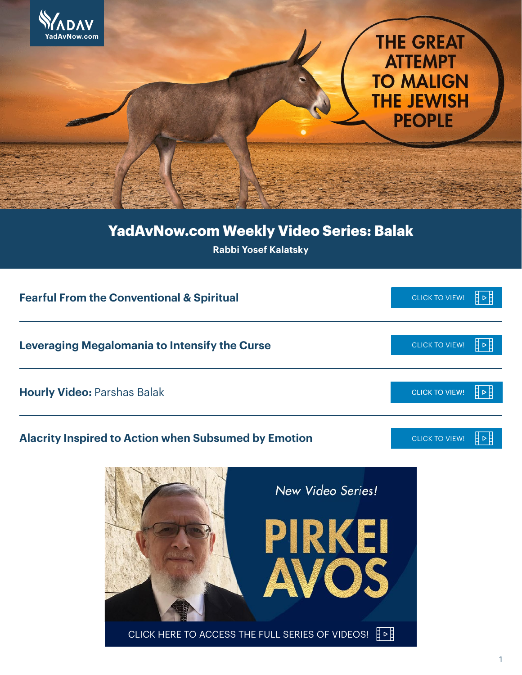

## **YadAvNow.com Weekly Video Series: Balak**

**Rabbi Yosef Kalatsky**

| <b>Fearful From the Conventional &amp; Spiritual</b>                                                   | <b>CLICK TO VIEW!</b> |     |
|--------------------------------------------------------------------------------------------------------|-----------------------|-----|
| Leveraging Megalomania to Intensify the Curse                                                          | <b>CLICK TO VIEW!</b> |     |
| <b>Hourly Video: Parshas Balak</b>                                                                     | <b>CLICK TO VIEW!</b> | 旧▷目 |
| <b>Alacrity Inspired to Action when Subsumed by Emotion</b>                                            | <b>CLICK TO VIEW!</b> |     |
| New Video Series!<br>PIRKEI<br>AVOS<br>CLICK HERE TO ACCESS THE FULL SERIES OF VIDEOS! $\frac{1}{4}$ ⊳ |                       |     |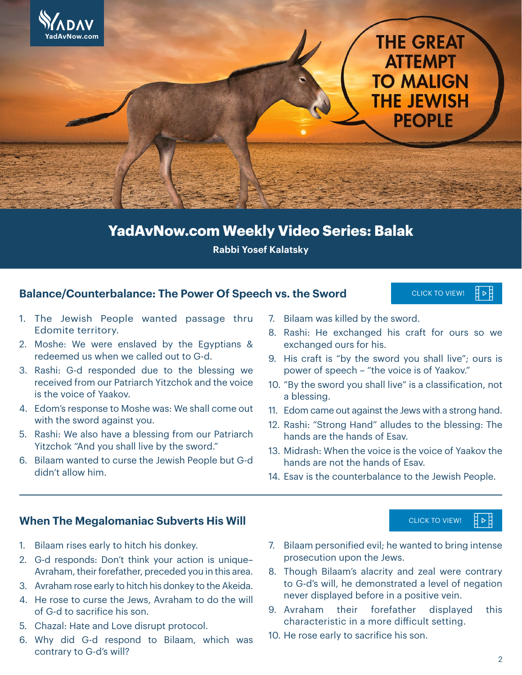

## **YadAvNow.com Weekly Video Series: Balak**

**Rabbi Yosef Kalatsky**

### **Balance/Counterbalance: The Power Of Speech vs. the Sword**

1. The Jewish People wanted passage thru Edomite territory.

- 2. Moshe: We were enslaved by the Egyptians & redeemed us when we called out to G-d.
- 3. Rashi: G-d responded due to the blessing we received from our Patriarch Yitzchok and the voice is the voice of Yaakov.
- 4. Edom's response to Moshe was: We shall come out with the sword against you.
- 5. Rashi: We also have a blessing from our Patriarch Yitzchok "And you shall live by the sword."
- 6. Bilaam wanted to curse the Jewish People but G-d didn't allow him.
- 7. Bilaam was killed by the sword.
- 8. Rashi: He exchanged his craft for ours so we exchanged ours for his.

CLICK TO VIEW!

∄⊲

CLICK TO VIEW!

- 9. His craft is "by the sword you shall live"; ours is power of speech – "the voice is of Yaakov."
- 10. "By the sword you shall live" is a classification, not a blessing.
- 11. Edom came out against the Jews with a strong hand.
- 12. Rashi: "Strong Hand" alludes to the blessing: The hands are the hands of Esav.
- 13. Midrash: When the voice is the voice of Yaakov the hands are not the hands of Esav.
- 14. Esav is the counterbalance to the Jewish People.

## **When The Megalomaniac Subverts His Will**

- 1. Bilaam rises early to hitch his donkey.
- 2. G-d responds: Don't think your action is unique– Avraham, their forefather, preceded you in this area.
- 3. Avraham rose early to hitch his donkey to the Akeida.
- 4. He rose to curse the Jews, Avraham to do the will of G-d to sacrifice his son.
- 5. Chazal: Hate and Love disrupt protocol.
- 6. Why did G-d respond to Bilaam, which was contrary to G-d's will?
- 7. Bilaam personified evil; he wanted to bring intense prosecution upon the Jews.
- 8. Though Bilaam's alacrity and zeal were contrary to G-d's will, he demonstrated a level of negation never displayed before in a positive vein.
- 9. Avraham their forefather displayed this characteristic in a more difficult setting.
- 10. He rose early to sacrifice his son.

Ħ ⊳ E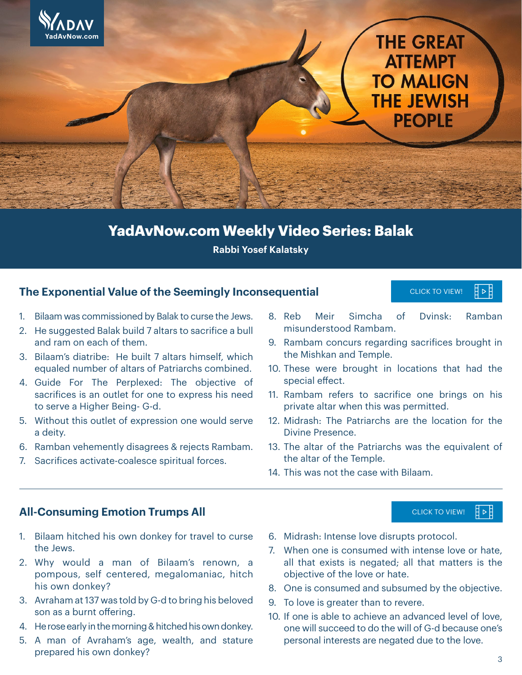

## **YadAvNow.com Weekly Video Series: Balak**

**Rabbi Yosef Kalatsky**

### **The Exponential Value of the Seemingly Inconsequential**

#### CLICK TO VIEW! ∄⊳

CLICK TO VIEW!

- 1. Bilaam was commissioned by Balak to curse the Jews.
- 2. He suggested Balak build 7 altars to sacrifice a bull and ram on each of them.
- 3. Bilaam's diatribe: He built 7 altars himself, which equaled number of altars of Patriarchs combined.
- 4. Guide For The Perplexed: The objective of sacrifices is an outlet for one to express his need to serve a Higher Being- G-d.
- 5. Without this outlet of expression one would serve a deity.
- 6. Ramban vehemently disagrees & rejects Rambam.
- 7. Sacrifices activate-coalesce spiritual forces.
- 8. Reb Meir Simcha of Dvinsk: Ramban misunderstood Rambam.
- 9. Rambam concurs regarding sacrifices brought in the Mishkan and Temple.
- 10. These were brought in locations that had the special effect.
- 11. Rambam refers to sacrifice one brings on his private altar when this was permitted.
- 12. Midrash: The Patriarchs are the location for the Divine Presence.
- 13. The altar of the Patriarchs was the equivalent of the altar of the Temple.
- 14. This was not the case with Bilaam.

### **All-Consuming Emotion Trumps All**

- 1. Bilaam hitched his own donkey for travel to curse the Jews.
- 2. Why would a man of Bilaam's renown, a pompous, self centered, megalomaniac, hitch his own donkey?
- 3. Avraham at 137 was told by G-d to bring his beloved son as a burnt offering.
- 4. He rose early in the morning & hitched his own donkey.
- 5. A man of Avraham's age, wealth, and stature prepared his own donkey?
- 6. Midrash: Intense love disrupts protocol.
- 7. When one is consumed with intense love or hate, all that exists is negated; all that matters is the objective of the love or hate.
- 8. One is consumed and subsumed by the objective.
- 9. To love is greater than to revere.
- 10. If one is able to achieve an advanced level of love, one will succeed to do the will of G-d because one's personal interests are negated due to the love.

┇╺┇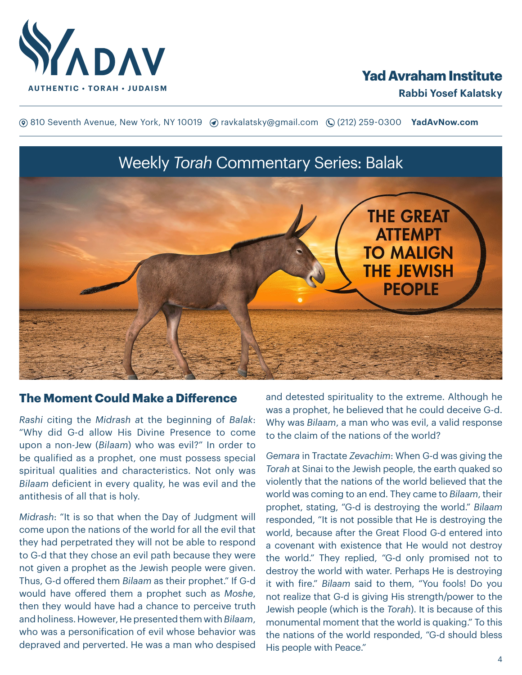

## **Yad Avraham Institute**

**(**® 810 Seventh Avenue, New York, NY 10019 (? ravkalatsky@gmail.com (2(212) 259-0300 **YadAvNow.com** 

# Weekly *Torah* Commentary Series: Balak **THE GREAT ATTEMPT TO MALIGN THE JEWISH PEOPLE**

## **The Moment Could Make a Difference**

*Rashi* citing the *Midrash a*t the beginning of *Balak*: "Why did G-d allow His Divine Presence to come upon a non-Jew (*Bilaam*) who was evil?" In order to be qualified as a prophet, one must possess special spiritual qualities and characteristics. Not only was *Bilaam* deficient in every quality, he was evil and the antithesis of all that is holy.

*Midrash*: "It is so that when the Day of Judgment will come upon the nations of the world for all the evil that they had perpetrated they will not be able to respond to G-d that they chose an evil path because they were not given a prophet as the Jewish people were given. Thus, G-d offered them *Bilaam* as their prophet." If G-d would have offered them a prophet such as *Moshe*, then they would have had a chance to perceive truth and holiness. However, He presented them with *Bilaam*, who was a personification of evil whose behavior was depraved and perverted. He was a man who despised

and detested spirituality to the extreme. Although he was a prophet, he believed that he could deceive G-d. Why was *Bilaam*, a man who was evil, a valid response to the claim of the nations of the world?

*Gemara* in Tractate *Zevachim*: When G-d was giving the *Torah* at Sinai to the Jewish people, the earth quaked so violently that the nations of the world believed that the world was coming to an end. They came to *Bilaam*, their prophet, stating, "G-d is destroying the world." *Bilaam* responded, "It is not possible that He is destroying the world, because after the Great Flood G-d entered into a covenant with existence that He would not destroy the world." They replied, "G-d only promised not to destroy the world with water. Perhaps He is destroying it with fire." *Bilaam* said to them, "You fools! Do you not realize that G-d is giving His strength/power to the Jewish people (which is the *Torah*). It is because of this monumental moment that the world is quaking." To this the nations of the world responded, "G-d should bless His people with Peace."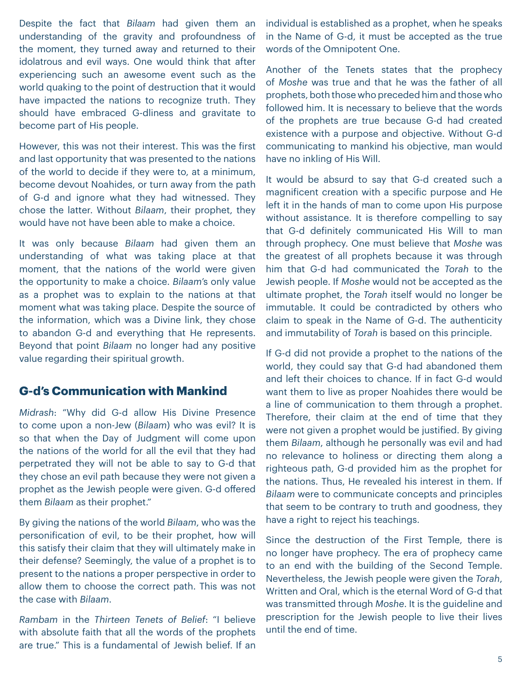Despite the fact that *Bilaam* had given them an understanding of the gravity and profoundness of the moment, they turned away and returned to their idolatrous and evil ways. One would think that after experiencing such an awesome event such as the world quaking to the point of destruction that it would have impacted the nations to recognize truth. They should have embraced G-dliness and gravitate to become part of His people.

However, this was not their interest. This was the first and last opportunity that was presented to the nations of the world to decide if they were to, at a minimum, become devout Noahides, or turn away from the path of G-d and ignore what they had witnessed. They chose the latter. Without *Bilaam*, their prophet, they would have not have been able to make a choice.

It was only because *Bilaam* had given them an understanding of what was taking place at that moment, that the nations of the world were given the opportunity to make a choice. *Bilaam*'s only value as a prophet was to explain to the nations at that moment what was taking place. Despite the source of the information, which was a Divine link, they chose to abandon G-d and everything that He represents. Beyond that point *Bilaam* no longer had any positive value regarding their spiritual growth.

## **G-d's Communication with Mankind**

*Midrash*: "Why did G-d allow His Divine Presence to come upon a non-Jew (*Bilaam*) who was evil? It is so that when the Day of Judgment will come upon the nations of the world for all the evil that they had perpetrated they will not be able to say to G-d that they chose an evil path because they were not given a prophet as the Jewish people were given. G-d offered them *Bilaam* as their prophet."

By giving the nations of the world *Bilaam*, who was the personification of evil, to be their prophet, how will this satisfy their claim that they will ultimately make in their defense? Seemingly, the value of a prophet is to present to the nations a proper perspective in order to allow them to choose the correct path. This was not the case with *Bilaam*.

*Rambam* in the *Thirteen Tenets of Belief*: "I believe with absolute faith that all the words of the prophets are true." This is a fundamental of Jewish belief. If an individual is established as a prophet, when he speaks in the Name of G-d, it must be accepted as the true words of the Omnipotent One.

Another of the Tenets states that the prophecy of *Moshe* was true and that he was the father of all prophets, both those who preceded him and those who followed him. It is necessary to believe that the words of the prophets are true because G-d had created existence with a purpose and objective. Without G-d communicating to mankind his objective, man would have no inkling of His Will.

It would be absurd to say that G-d created such a magnificent creation with a specific purpose and He left it in the hands of man to come upon His purpose without assistance. It is therefore compelling to say that G-d definitely communicated His Will to man through prophecy. One must believe that *Moshe* was the greatest of all prophets because it was through him that G-d had communicated the *Torah* to the Jewish people. If *Moshe* would not be accepted as the ultimate prophet, the *Torah* itself would no longer be immutable. It could be contradicted by others who claim to speak in the Name of G-d. The authenticity and immutability of *Torah* is based on this principle.

If G-d did not provide a prophet to the nations of the world, they could say that G-d had abandoned them and left their choices to chance. If in fact G-d would want them to live as proper Noahides there would be a line of communication to them through a prophet. Therefore, their claim at the end of time that they were not given a prophet would be justified. By giving them *Bilaam*, although he personally was evil and had no relevance to holiness or directing them along a righteous path, G-d provided him as the prophet for the nations. Thus, He revealed his interest in them. If *Bilaam* were to communicate concepts and principles that seem to be contrary to truth and goodness, they have a right to reject his teachings.

Since the destruction of the First Temple, there is no longer have prophecy. The era of prophecy came to an end with the building of the Second Temple. Nevertheless, the Jewish people were given the *Torah*, Written and Oral, which is the eternal Word of G-d that was transmitted through *Moshe*. It is the guideline and prescription for the Jewish people to live their lives until the end of time.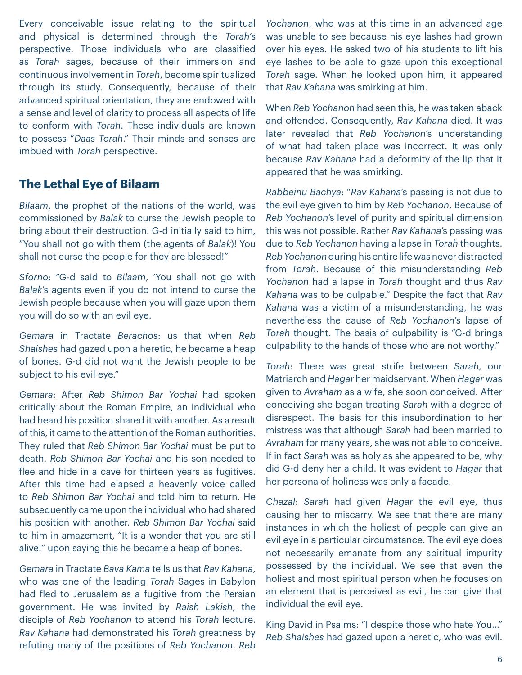Every conceivable issue relating to the spiritual and physical is determined through the *Torah*'s perspective. Those individuals who are classified as *Torah* sages, because of their immersion and continuous involvement in *Torah*, become spiritualized through its study. Consequently, because of their advanced spiritual orientation, they are endowed with a sense and level of clarity to process all aspects of life to conform with *Torah*. These individuals are known to possess "*Daas Torah*." Their minds and senses are imbued with *Torah* perspective.

## **The Lethal Eye of Bilaam**

*Bilaam*, the prophet of the nations of the world, was commissioned by *Balak* to curse the Jewish people to bring about their destruction. G-d initially said to him, "You shall not go with them (the agents of *Balak*)! You shall not curse the people for they are blessed!"

*Sforno*: "G-d said to *Bilaam*, 'You shall not go with *Balak*'s agents even if you do not intend to curse the Jewish people because when you will gaze upon them you will do so with an evil eye.

*Gemara* in Tractate *Berachos*: us that when *Reb Shaishes* had gazed upon a heretic, he became a heap of bones. G-d did not want the Jewish people to be subject to his evil eye."

*Gemara*: After *Reb Shimon Bar Yochai* had spoken critically about the Roman Empire, an individual who had heard his position shared it with another. As a result of this, it came to the attention of the Roman authorities. They ruled that *Reb Shimon Bar Yochai* must be put to death. *Reb Shimon Bar Yochai* and his son needed to flee and hide in a cave for thirteen years as fugitives. After this time had elapsed a heavenly voice called to *Reb Shimon Bar Yochai* and told him to return. He subsequently came upon the individual who had shared his position with another. *Reb Shimon Bar Yochai* said to him in amazement, "It is a wonder that you are still alive!" upon saying this he became a heap of bones.

*Gemara* in Tractate *Bava Kama* tells us that *Rav Kahana*, who was one of the leading *Torah* Sages in Babylon had fled to Jerusalem as a fugitive from the Persian government. He was invited by *Raish Lakish*, the disciple of *Reb Yochanon* to attend his *Torah* lecture. *Rav Kahana* had demonstrated his *Torah* greatness by refuting many of the positions of *Reb Yochanon*. *Reb* 

*Yochanon*, who was at this time in an advanced age was unable to see because his eye lashes had grown over his eyes. He asked two of his students to lift his eye lashes to be able to gaze upon this exceptional *Torah* sage. When he looked upon him, it appeared that *Rav Kahana* was smirking at him.

When *Reb Yochanon* had seen this, he was taken aback and offended. Consequently, *Rav Kahana* died. It was later revealed that *Reb Yochanon*'s understanding of what had taken place was incorrect. It was only because *Rav Kahana* had a deformity of the lip that it appeared that he was smirking.

*Rabbeinu Bachya*: "*Rav Kahana*'s passing is not due to the evil eye given to him by *Reb Yochanon*. Because of *Reb Yochanon*'s level of purity and spiritual dimension this was not possible. Rather *Rav Kahana*'s passing was due to *Reb Yochanon* having a lapse in *Torah* thoughts. *Reb Yochanon* during his entire life was never distracted from *Torah*. Because of this misunderstanding *Reb Yochanon* had a lapse in *Torah* thought and thus *Rav Kahana* was to be culpable." Despite the fact that *Rav Kahana* was a victim of a misunderstanding, he was nevertheless the cause of *Reb Yochanon*'s lapse of *Torah* thought. The basis of culpability is "G-d brings culpability to the hands of those who are not worthy."

*Torah*: There was great strife between *Sarah*, our Matriarch and *Hagar* her maidservant. When *Hagar* was given to *Avraham* as a wife, she soon conceived. After conceiving she began treating *Sarah* with a degree of disrespect. The basis for this insubordination to her mistress was that although *Sarah* had been married to *Avraham* for many years, she was not able to conceive. If in fact *Sarah* was as holy as she appeared to be, why did G-d deny her a child. It was evident to *Hagar* that her persona of holiness was only a facade.

*Chazal*: *Sarah* had given *Hagar* the evil eye, thus causing her to miscarry. We see that there are many instances in which the holiest of people can give an evil eye in a particular circumstance. The evil eye does not necessarily emanate from any spiritual impurity possessed by the individual. We see that even the holiest and most spiritual person when he focuses on an element that is perceived as evil, he can give that individual the evil eye.

King David in Psalms: "I despite those who hate You…" *Reb Shaishes* had gazed upon a heretic, who was evil.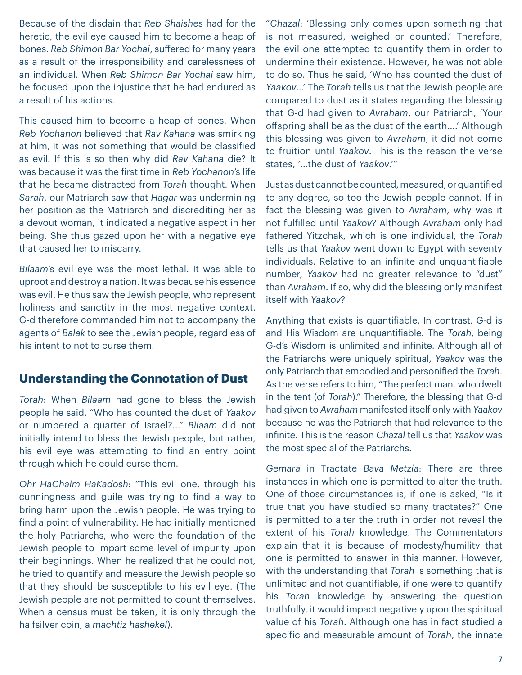Because of the disdain that *Reb Shaishes* had for the heretic, the evil eye caused him to become a heap of bones. *Reb Shimon Bar Yochai*, suffered for many years as a result of the irresponsibility and carelessness of an individual. When *Reb Shimon Bar Yochai* saw him, he focused upon the injustice that he had endured as a result of his actions.

This caused him to become a heap of bones. When *Reb Yochanon* believed that *Rav Kahana* was smirking at him, it was not something that would be classified as evil. If this is so then why did *Rav Kahana* die? It was because it was the first time in *Reb Yochanon*'s life that he became distracted from *Torah* thought. When *Sarah*, our Matriarch saw that *Hagar* was undermining her position as the Matriarch and discrediting her as a devout woman, it indicated a negative aspect in her being. She thus gazed upon her with a negative eye that caused her to miscarry.

*Bilaam*'s evil eye was the most lethal. It was able to uproot and destroy a nation. It was because his essence was evil. He thus saw the Jewish people, who represent holiness and sanctity in the most negative context. G-d therefore commanded him not to accompany the agents of *Balak* to see the Jewish people, regardless of his intent to not to curse them.

## **Understanding the Connotation of Dust**

*Torah*: When *Bilaam* had gone to bless the Jewish people he said, "Who has counted the dust of *Yaakov* or numbered a quarter of Israel?..." *Bilaam* did not initially intend to bless the Jewish people, but rather, his evil eye was attempting to find an entry point through which he could curse them.

*Ohr HaChaim HaKadosh*: "This evil one, through his cunningness and guile was trying to find a way to bring harm upon the Jewish people. He was trying to find a point of vulnerability. He had initially mentioned the holy Patriarchs, who were the foundation of the Jewish people to impart some level of impurity upon their beginnings. When he realized that he could not, he tried to quantify and measure the Jewish people so that they should be susceptible to his evil eye. (The Jewish people are not permitted to count themselves. When a census must be taken, it is only through the halfsilver coin, a *machtiz hashekel*).

"*Chazal*: 'Blessing only comes upon something that is not measured, weighed or counted.' Therefore, the evil one attempted to quantify them in order to undermine their existence. However, he was not able to do so. Thus he said, 'Who has counted the dust of *Yaakov*…' The *Torah* tells us that the Jewish people are compared to dust as it states regarding the blessing that G-d had given to *Avraham*, our Patriarch, 'Your offspring shall be as the dust of the earth….' Although this blessing was given to *Avraham*, it did not come to fruition until *Yaakov*. This is the reason the verse states, '…the dust of *Yaakov*.'"

Just as dust cannot be counted, measured, or quantified to any degree, so too the Jewish people cannot. If in fact the blessing was given to *Avraham*, why was it not fulfilled until *Yaakov*? Although *Avraham* only had fathered Yitzchak, which is one individual, the *Torah* tells us that *Yaakov* went down to Egypt with seventy individuals. Relative to an infinite and unquantifiable number, *Yaakov* had no greater relevance to "dust" than *Avraham*. If so, why did the blessing only manifest itself with *Yaakov*?

Anything that exists is quantifiable. In contrast, G-d is and His Wisdom are unquantifiable. The *Torah*, being G-d's Wisdom is unlimited and infinite. Although all of the Patriarchs were uniquely spiritual, *Yaakov* was the only Patriarch that embodied and personified the *Torah*. As the verse refers to him, "The perfect man, who dwelt in the tent (of *Torah*)." Therefore, the blessing that G-d had given to *Avraham* manifested itself only with *Yaakov* because he was the Patriarch that had relevance to the infinite. This is the reason *Chazal* tell us that *Yaakov* was the most special of the Patriarchs.

*Gemara* in Tractate *Bava Metzia*: There are three instances in which one is permitted to alter the truth. One of those circumstances is, if one is asked, "Is it true that you have studied so many tractates?" One is permitted to alter the truth in order not reveal the extent of his *Torah* knowledge. The Commentators explain that it is because of modesty/humility that one is permitted to answer in this manner. However, with the understanding that *Torah* is something that is unlimited and not quantifiable, if one were to quantify his *Torah* knowledge by answering the question truthfully, it would impact negatively upon the spiritual value of his *Torah*. Although one has in fact studied a specific and measurable amount of *Torah*, the innate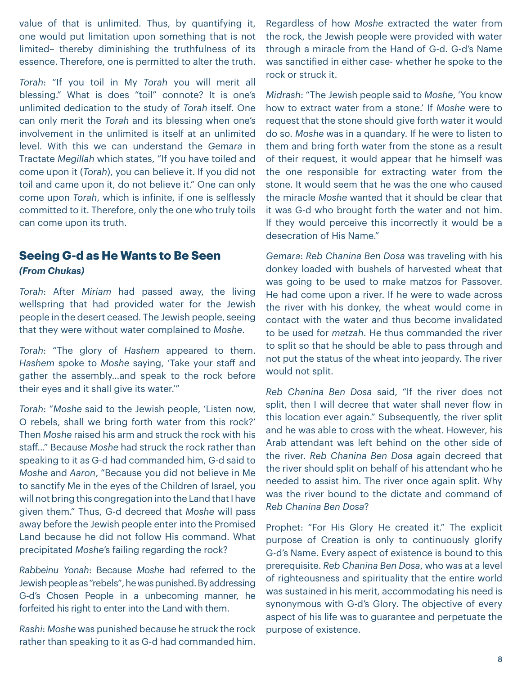value of that is unlimited. Thus, by quantifying it, one would put limitation upon something that is not limited– thereby diminishing the truthfulness of its essence. Therefore, one is permitted to alter the truth.

*Torah*: "If you toil in My *Torah* you will merit all blessing." What is does "toil" connote? It is one's unlimited dedication to the study of *Torah* itself. One can only merit the *Torah* and its blessing when one's involvement in the unlimited is itself at an unlimited level. With this we can understand the *Gemara* in Tractate *Megillah* which states, "If you have toiled and come upon it (*Torah*), you can believe it. If you did not toil and came upon it, do not believe it." One can only come upon *Torah*, which is infinite, if one is selflessly committed to it. Therefore, only the one who truly toils can come upon its truth.

## **Seeing G-d as He Wants to Be Seen**  *(From Chukas)*

*Torah*: After *Miriam* had passed away, the living wellspring that had provided water for the Jewish people in the desert ceased. The Jewish people, seeing that they were without water complained to *Moshe*.

*Torah*: "The glory of *Hashem* appeared to them. *Hashem* spoke to *Moshe* saying, 'Take your staff and gather the assembly…and speak to the rock before their eyes and it shall give its water.'"

*Torah*: "*Moshe* said to the Jewish people, 'Listen now, O rebels, shall we bring forth water from this rock?' Then *Moshe* raised his arm and struck the rock with his staff…" Because *Moshe* had struck the rock rather than speaking to it as G-d had commanded him, G-d said to *Moshe* and *Aaron*, "Because you did not believe in Me to sanctify Me in the eyes of the Children of Israel, you will not bring this congregation into the Land that I have given them." Thus, G-d decreed that *Moshe* will pass away before the Jewish people enter into the Promised Land because he did not follow His command. What precipitated *Moshe*'s failing regarding the rock?

*Rabbeinu Yonah*: Because *Moshe* had referred to the Jewish people as "rebels", he was punished. By addressing G-d's Chosen People in a unbecoming manner, he forfeited his right to enter into the Land with them.

*Rashi*: *Moshe* was punished because he struck the rock rather than speaking to it as G-d had commanded him.

Regardless of how *Moshe* extracted the water from the rock, the Jewish people were provided with water through a miracle from the Hand of G-d. G-d's Name was sanctified in either case- whether he spoke to the rock or struck it.

*Midrash*: "The Jewish people said to *Moshe*, 'You know how to extract water from a stone.' If *Moshe* were to request that the stone should give forth water it would do so. *Moshe* was in a quandary. If he were to listen to them and bring forth water from the stone as a result of their request, it would appear that he himself was the one responsible for extracting water from the stone. It would seem that he was the one who caused the miracle *Moshe* wanted that it should be clear that it was G-d who brought forth the water and not him. If they would perceive this incorrectly it would be a desecration of His Name."

*Gemara*: *Reb Chanina Ben Dosa* was traveling with his donkey loaded with bushels of harvested wheat that was going to be used to make matzos for Passover. He had come upon a river. If he were to wade across the river with his donkey, the wheat would come in contact with the water and thus become invalidated to be used for *matzah*. He thus commanded the river to split so that he should be able to pass through and not put the status of the wheat into jeopardy. The river would not split.

*Reb Chanina Ben Dosa* said, "If the river does not split, then I will decree that water shall never flow in this location ever again." Subsequently, the river split and he was able to cross with the wheat. However, his Arab attendant was left behind on the other side of the river. *Reb Chanina Ben Dosa* again decreed that the river should split on behalf of his attendant who he needed to assist him. The river once again split. Why was the river bound to the dictate and command of *Reb Chanina Ben Dosa*?

Prophet: "For His Glory He created it." The explicit purpose of Creation is only to continuously glorify G-d's Name. Every aspect of existence is bound to this prerequisite. *Reb Chanina Ben Dosa*, who was at a level of righteousness and spirituality that the entire world was sustained in his merit, accommodating his need is synonymous with G-d's Glory. The objective of every aspect of his life was to guarantee and perpetuate the purpose of existence.